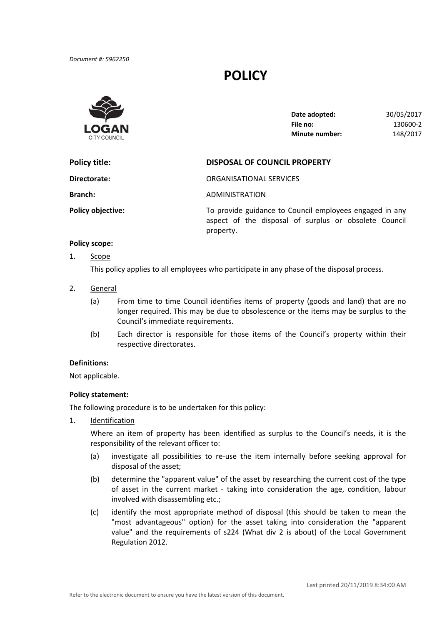# **POLICY**



| Date adopted:         | 30/05/2017 |
|-----------------------|------------|
| File no:              | 130600-2   |
| <b>Minute number:</b> | 148/2017   |

| Policy title:            | <b>DISPOSAL OF COUNCIL PROPERTY</b>                                                                              |  |
|--------------------------|------------------------------------------------------------------------------------------------------------------|--|
| Directorate:             | ORGANISATIONAL SERVICES                                                                                          |  |
| <b>Branch:</b>           | ADMINISTRATION                                                                                                   |  |
| <b>Policy objective:</b> | To provide guidance to Council employees engaged in any<br>aspect of the disposal of surplus or obsolete Council |  |

### **Policy scope:**

1. Scope

This policy applies to all employees who participate in any phase of the disposal process.

property.

- 2. General
	- (a) From time to time Council identifies items of property (goods and land) that are no longer required. This may be due to obsolescence or the items may be surplus to the Council's immediate requirements.
	- (b) Each director is responsible for those items of the Council's property within their respective directorates.

## **Definitions:**

Not applicable.

### **Policy statement:**

The following procedure is to be undertaken for this policy:

1. Identification

 Where an item of property has been identified as surplus to the Council's needs, it is the responsibility of the relevant officer to:

- (a) investigate all possibilities to re‐use the item internally before seeking approval for disposal of the asset;
- (b) determine the "apparent value" of the asset by researching the current cost of the type of asset in the current market - taking into consideration the age, condition, labour involved with disassembling etc.;
- (c) identify the most appropriate method of disposal (this should be taken to mean the "most advantageous" option) for the asset taking into consideration the "apparent value" and the requirements of s224 (What div 2 is about) of the Local Government Regulation 2012.